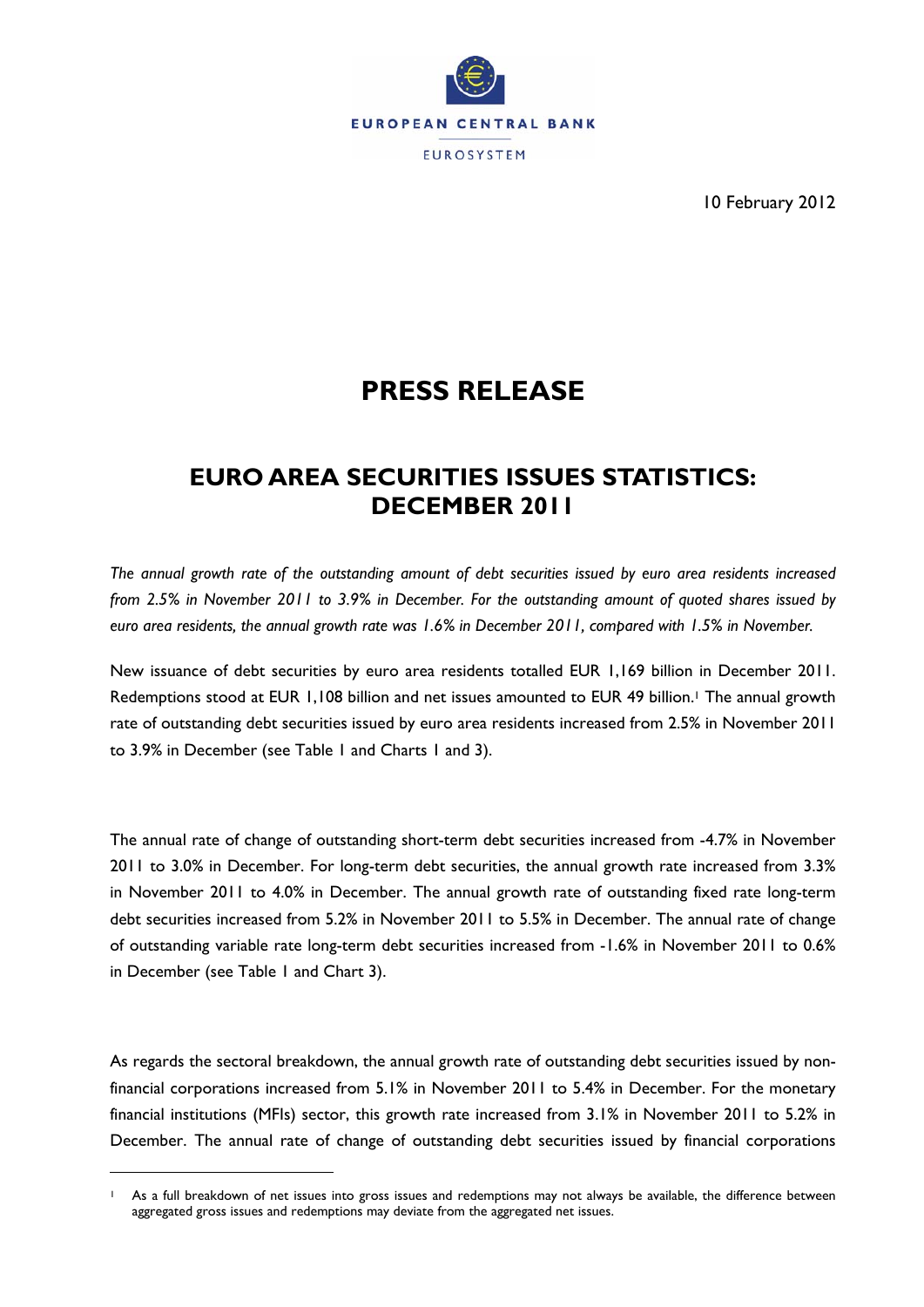

10 February 2012

# **PRESS RELEASE**

# **EURO AREA SECURITIES ISSUES STATISTICS: DECEMBER 2011**

*The annual growth rate of the outstanding amount of debt securities issued by euro area residents increased from 2.5% in November 2011 to 3.9% in December. For the outstanding amount of quoted shares issued by euro area residents, the annual growth rate was 1.6% in December 2011, compared with 1.5% in November.* 

New issuance of debt securities by euro area residents totalled EUR 1,169 billion in December 2011. Redemptions stood at EUR 1,108 billion and net issues amounted to EUR 49 billion.<sup>1</sup> The annual growth rate of outstanding debt securities issued by euro area residents increased from 2.5% in November 2011 to 3.9% in December (see Table 1 and Charts 1 and 3).

The annual rate of change of outstanding short-term debt securities increased from -4.7% in November 2011 to 3.0% in December. For long-term debt securities, the annual growth rate increased from 3.3% in November 2011 to 4.0% in December. The annual growth rate of outstanding fixed rate long-term debt securities increased from 5.2% in November 2011 to 5.5% in December. The annual rate of change of outstanding variable rate long-term debt securities increased from -1.6% in November 2011 to 0.6% in December (see Table 1 and Chart 3).

As regards the sectoral breakdown, the annual growth rate of outstanding debt securities issued by nonfinancial corporations increased from 5.1% in November 2011 to 5.4% in December. For the monetary financial institutions (MFIs) sector, this growth rate increased from 3.1% in November 2011 to 5.2% in December. The annual rate of change of outstanding debt securities issued by financial corporations

<u>.</u>

As a full breakdown of net issues into gross issues and redemptions may not always be available, the difference between aggregated gross issues and redemptions may deviate from the aggregated net issues.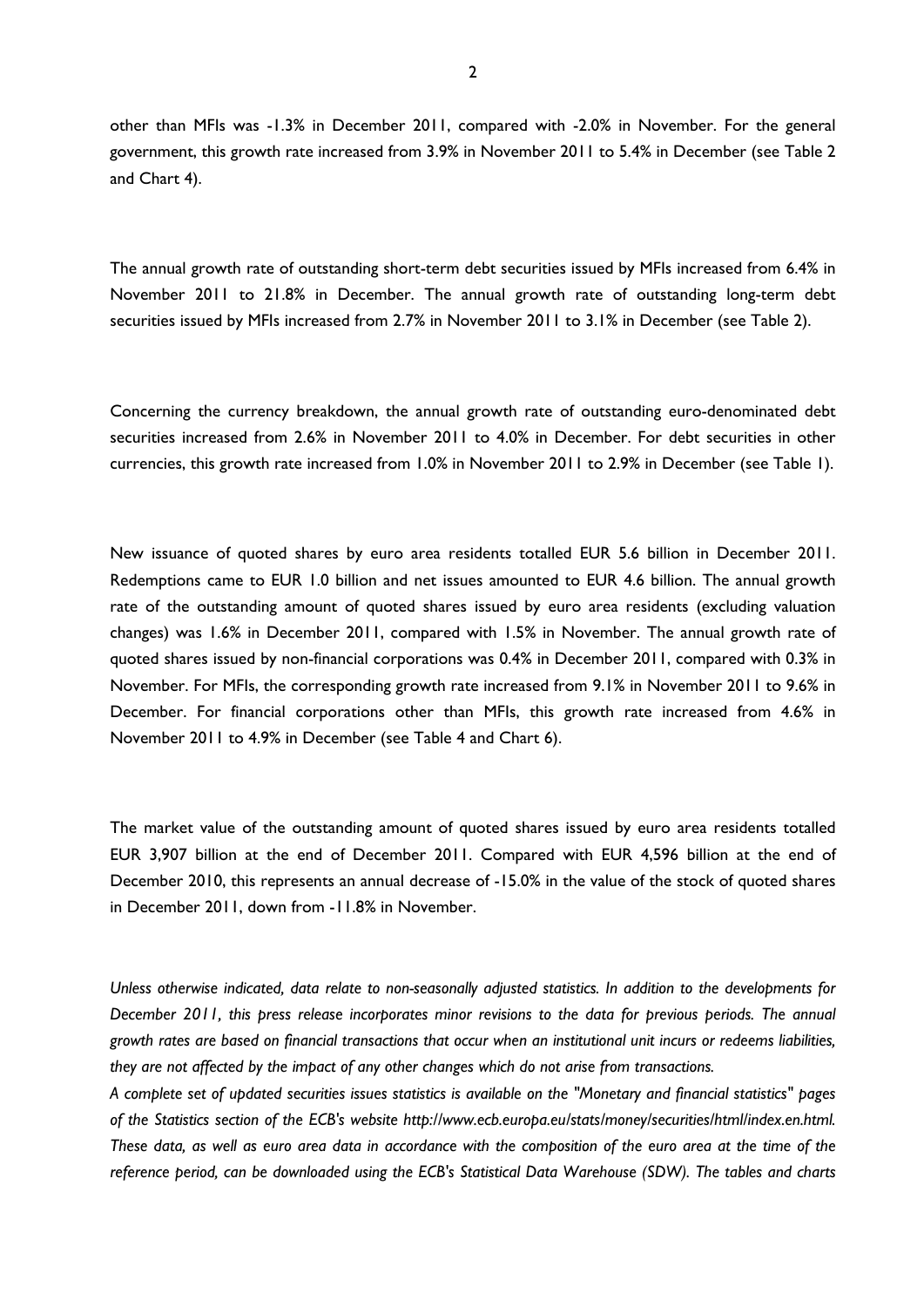other than MFIs was -1.3% in December 2011, compared with -2.0% in November. For the general government, this growth rate increased from 3.9% in November 2011 to 5.4% in December (see Table 2 and Chart 4).

The annual growth rate of outstanding short-term debt securities issued by MFIs increased from 6.4% in November 2011 to 21.8% in December. The annual growth rate of outstanding long-term debt securities issued by MFIs increased from 2.7% in November 2011 to 3.1% in December (see Table 2).

Concerning the currency breakdown, the annual growth rate of outstanding euro-denominated debt securities increased from 2.6% in November 2011 to 4.0% in December. For debt securities in other currencies, this growth rate increased from 1.0% in November 2011 to 2.9% in December (see Table 1).

New issuance of quoted shares by euro area residents totalled EUR 5.6 billion in December 2011. Redemptions came to EUR 1.0 billion and net issues amounted to EUR 4.6 billion. The annual growth rate of the outstanding amount of quoted shares issued by euro area residents (excluding valuation changes) was 1.6% in December 2011, compared with 1.5% in November. The annual growth rate of quoted shares issued by non-financial corporations was 0.4% in December 2011, compared with 0.3% in November. For MFIs, the corresponding growth rate increased from 9.1% in November 2011 to 9.6% in December. For financial corporations other than MFIs, this growth rate increased from 4.6% in November 2011 to 4.9% in December (see Table 4 and Chart 6).

The market value of the outstanding amount of quoted shares issued by euro area residents totalled EUR 3,907 billion at the end of December 2011. Compared with EUR 4,596 billion at the end of December 2010, this represents an annual decrease of -15.0% in the value of the stock of quoted shares in December 2011, down from -11.8% in November.

*Unless otherwise indicated, data relate to non-seasonally adjusted statistics. In addition to the developments for December 2011, this press release incorporates minor revisions to the data for previous periods. The annual growth rates are based on financial transactions that occur when an institutional unit incurs or redeems liabilities, they are not affected by the impact of any other changes which do not arise from transactions.* 

*A complete set of updated securities issues statistics is available on the "Monetary and financial statistics" pages of the Statistics section of the ECB's website http://www.ecb.europa.eu/stats/money/securities/html/index.en.html. These data, as well as euro area data in accordance with the composition of the euro area at the time of the reference period, can be downloaded using the ECB's Statistical Data Warehouse (SDW). The tables and charts*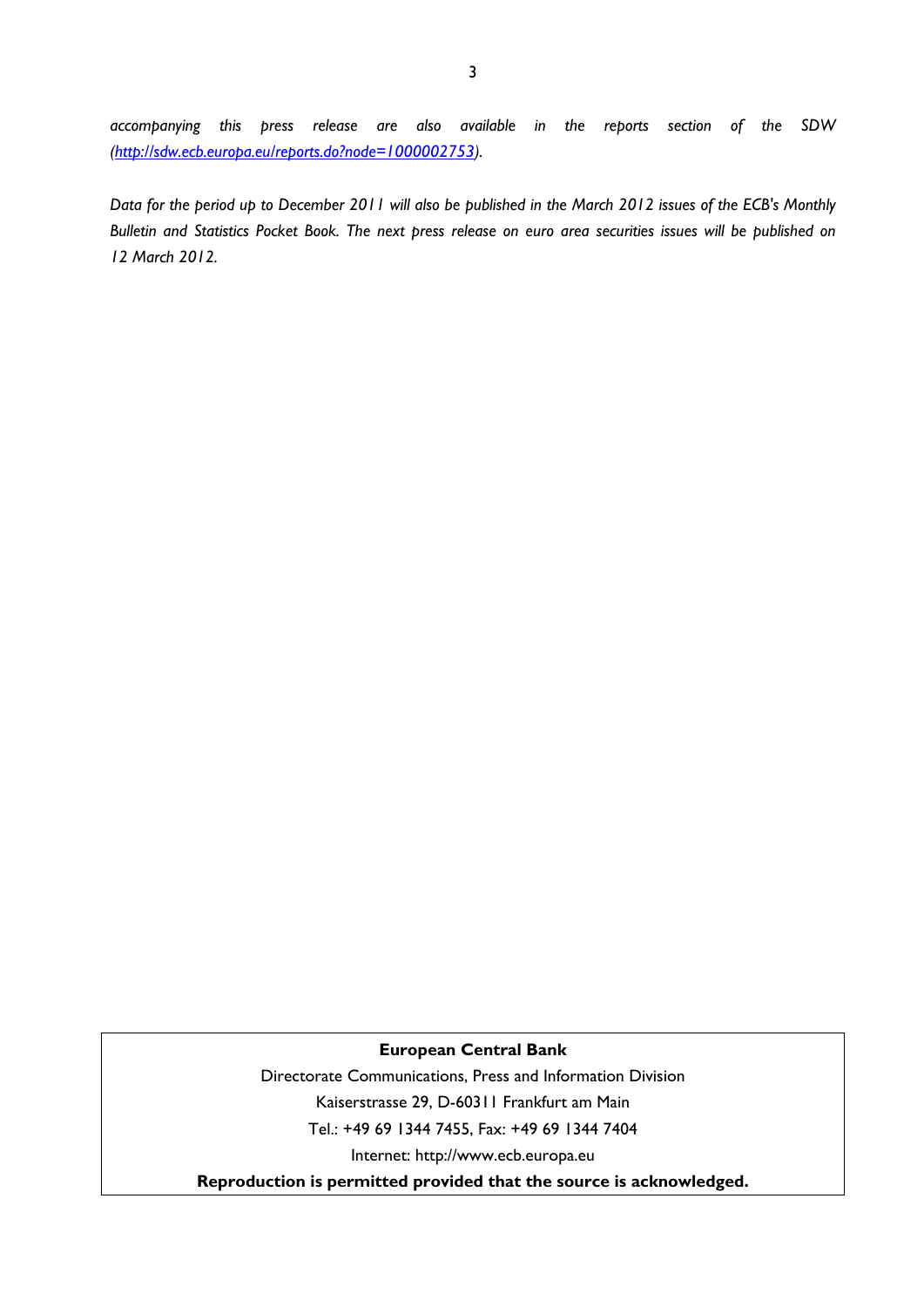*accompanying this press release are also available in the reports section of the SDW (http://sdw.ecb.europa.eu/reports.do?node=1000002753).* 

*Data for the period up to December 2011 will also be published in the March 2012 issues of the ECB's Monthly Bulletin and Statistics Pocket Book. The next press release on euro area securities issues will be published on 12 March 2012.* 

#### **European Central Bank**

Directorate Communications, Press and Information Division Kaiserstrasse 29, D-60311 Frankfurt am Main Tel.: +49 69 1344 7455, Fax: +49 69 1344 7404 Internet: http://www.ecb.europa.eu

**Reproduction is permitted provided that the source is acknowledged.**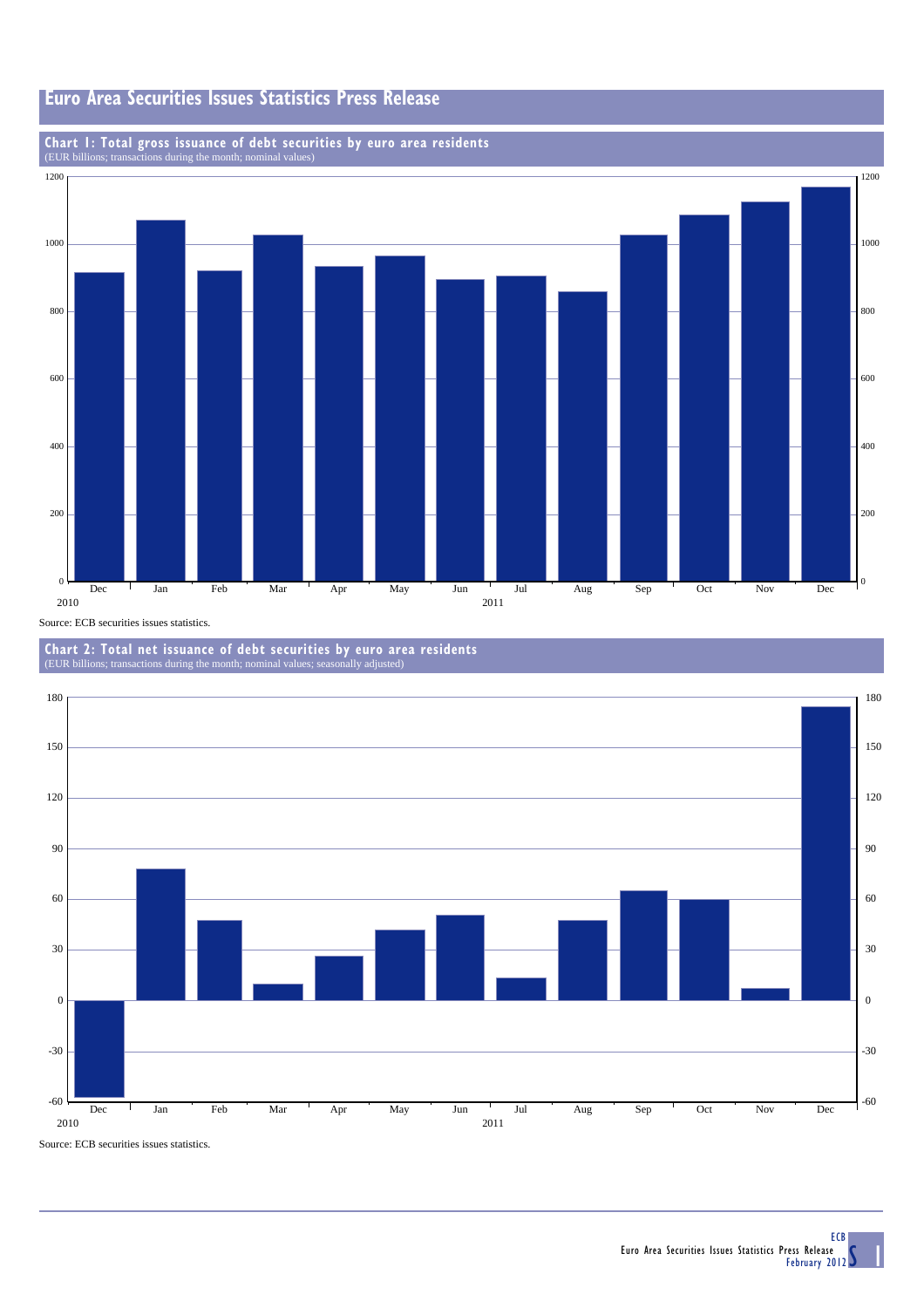## **Euro Area Securities Issues Statistics Press Release**

## **Chart 1: Total gross issuance of debt securities by euro area residents** (EUR billions; transactions during the month; nominal values)



**Chart 2: Total net issuance of debt securities by euro area residents** (EUR billions; transactions during the month; nominal value



Source: ECB securities issues statistics.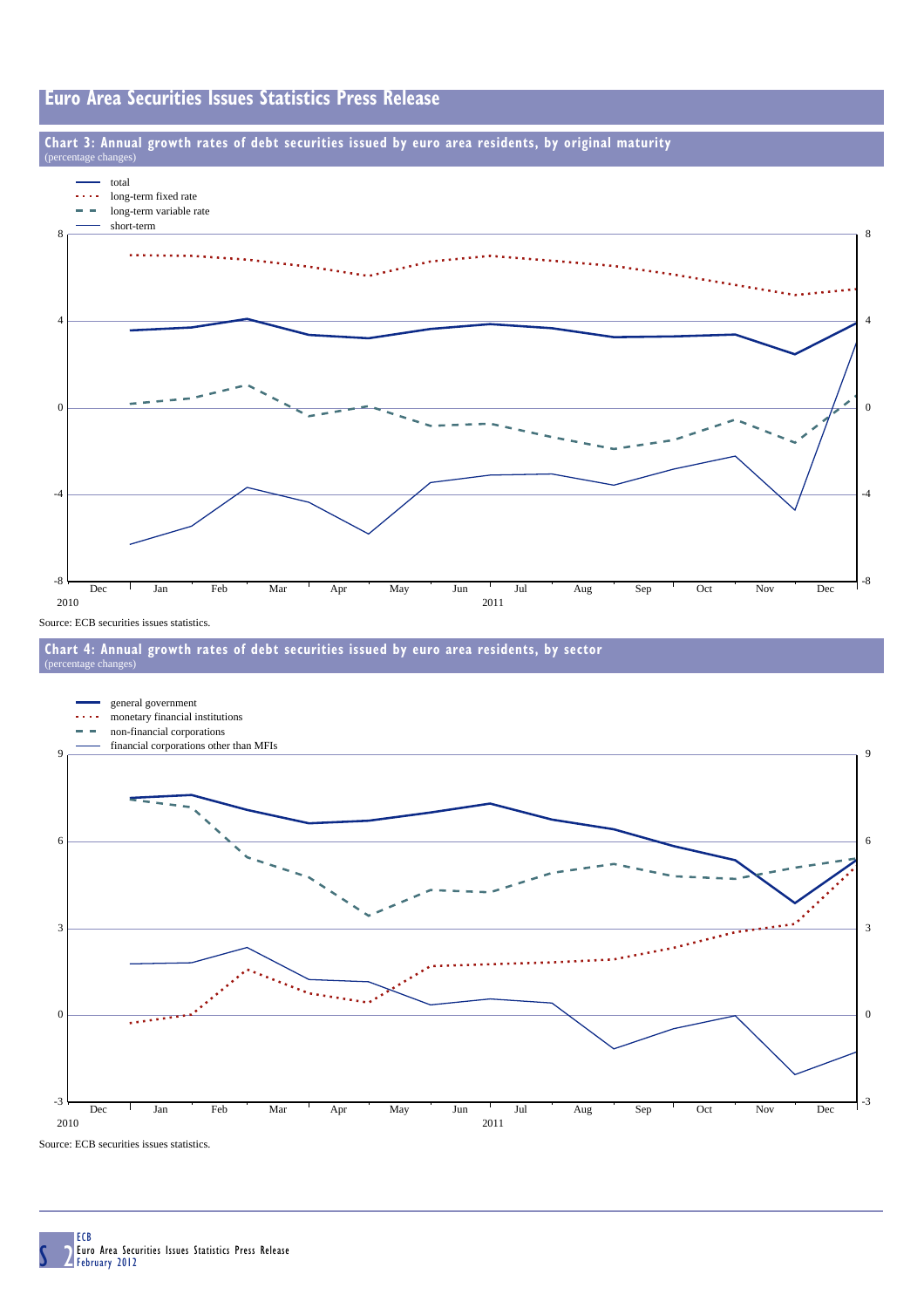### **Euro Area Securities Issues Statistics Press Release**

### **Chart 3: Annual growth rates of debt securities issued by euro area residents, by original maturity**



Source: ECB securities issues statistics.

 $e$  cha

#### **Chart 4: Annual growth rates of debt securities issued by euro area residents, by sector** (percentage changes)



Source: ECB securities issues statistics.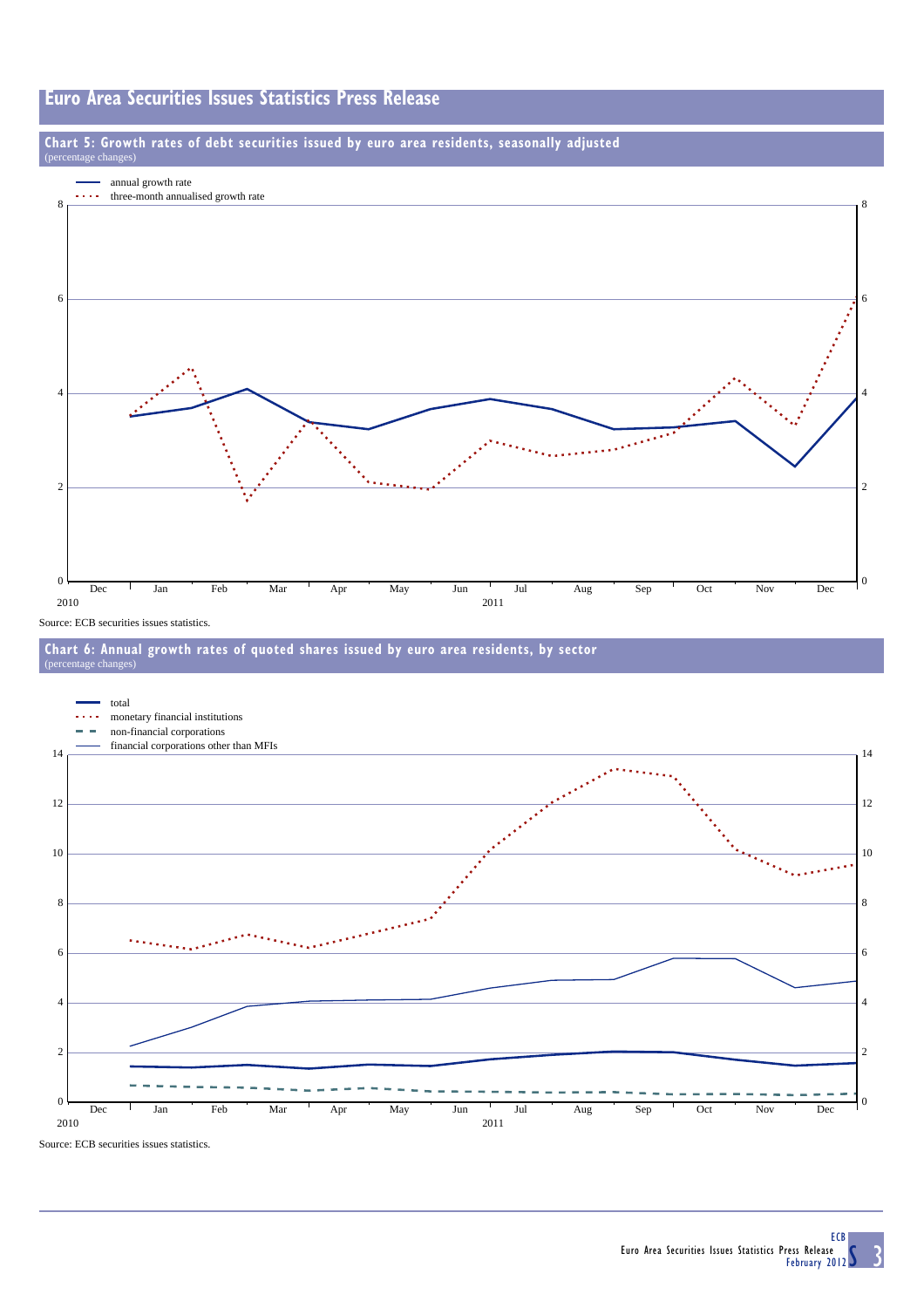### **Euro Area Securities Issues Statistics Press Release**





Source: ECB securities issues statistics.





Source: ECB securities issues statistics.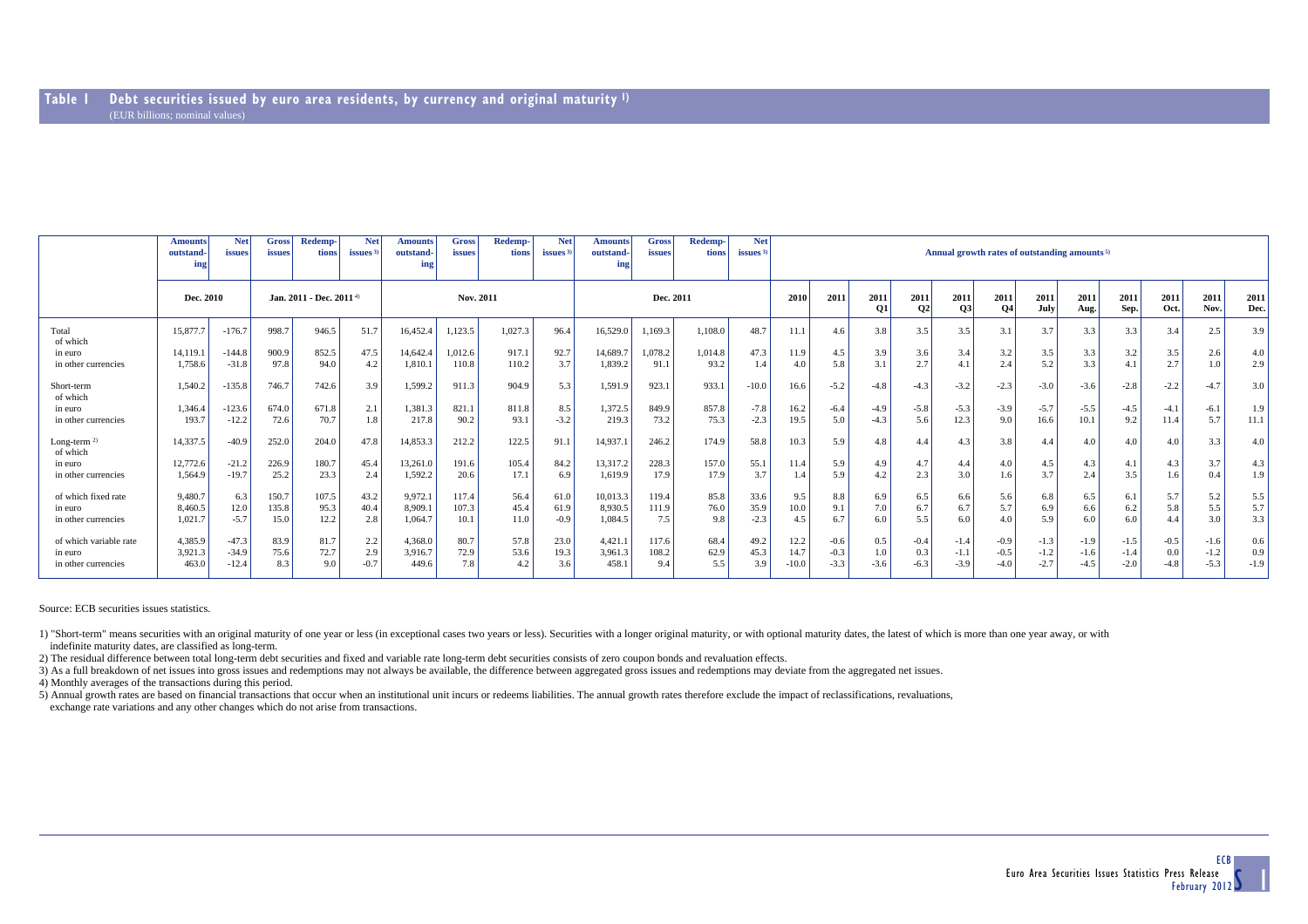|                           | <b>Amounts</b><br>outstand-<br>in2 | <b>Net</b><br><i>issues</i> | <b>Gross</b><br>issues              | Redemp-<br>tions | <b>Net</b><br>issues <sup>3</sup> | <b>Amounts</b><br>outstand-<br>ing | <b>Gross</b><br>issues | Redemp-<br>tions | <b>Net</b><br>issues $3$ | <b>Amounts</b><br>outstand-<br>ing | <b>Gross</b><br>issues | Redemp-<br>tions | <b>Net</b><br>issues $3$ | Annual growth rates of outstanding amounts <sup>5)</sup> |        |                   |                        |                   |            |              |              |              |              |              |                  |
|---------------------------|------------------------------------|-----------------------------|-------------------------------------|------------------|-----------------------------------|------------------------------------|------------------------|------------------|--------------------------|------------------------------------|------------------------|------------------|--------------------------|----------------------------------------------------------|--------|-------------------|------------------------|-------------------|------------|--------------|--------------|--------------|--------------|--------------|------------------|
|                           | Dec. 2010                          |                             | Jan. 2011 - Dec. 2011 <sup>4)</sup> |                  |                                   | Nov. 2011                          |                        |                  |                          | Dec. 2011                          |                        |                  |                          | 2010                                                     | 2011   | 2011<br><b>O1</b> | 2011<br>O <sub>2</sub> | 2011<br><b>O3</b> | 2011<br>04 | 2011<br>July | 2011<br>Aug. | 2011<br>Sep. | 2011<br>Oct. | 2011<br>Nov. | 2011<br>Dec.     |
| Total<br>of which         | 15,877.7                           | $-176.7$                    | 998.7                               | 946.5            | 51.7                              | 16,452.4                           | 1,123.5                | 1.027.3          | 96.4                     | 16.529.0                           | 1.169.3                | 1.108.0          | 48.7                     | 11.1                                                     | 4.6    | 3.8               | 3.5                    | 3.5               | 3.1        | 3.7          | 3.3          | 3.3          | 3.4          | 2.5          | 3.9              |
| in euro                   | 14.119.1                           | $-144.8$                    | 900.9                               | 852.5            | 47.5                              | 14,642.4                           | 1,012.6                | 917.1            | 92.7                     | 14,689.7                           | 1,078.2                | 1,014.8          | 47.3                     | 11.9                                                     | 4.5    | 3.9               | 3.6                    | 3.4               | 3.2        | 3.5          | 3.3          | 3.2          | 3.5          | 2.6          | 4.0 <sub>1</sub> |
| in other currencies       | 1,758.6                            | $-31.8$                     | 97.8                                | 94.0             | 4.2                               | 1,810.                             | 110.8                  | 110.2            | 3.7                      | 1.839.2                            | 91.1                   | 93.2             | 1.4                      | 4.0                                                      | 5.8    | 3.1               | 2.7                    | 4.1               | 2.4        | 5.2          | 3.3          | 4.1          | 2.7          | 1.0          | 2.9              |
| Short-term<br>of which    | 1.540.2                            | $-135.8$                    | 746.7                               | 742.6            | 3.9                               | 1,599.2                            | 911.3                  | 904.9            | 5.3                      | 1,591.9                            | 923.1                  | 933.1            | $-10.0$                  | 16.6                                                     | $-5.2$ | $-4.8$            | $-4.3$                 | $-3.2$            | $-2.3$     | $-3.0$       | $-3.6$       | $-2.8$       | $-2.2$       | $-4.7$       | 3.0              |
| in euro                   | 1.346.4                            | $-123.6$                    | 674.0                               | 671.8            | 2.1                               | 1.381.3                            | 821.1                  | 811.8            | 8.5                      | 1,372.5                            | 849.9                  | 857.8            | $-7.8$                   | 16.2                                                     | $-6.4$ | $-4.9$            | $-5.8$                 | $-5.3$            | $-3.9$     | $-5.7$       | $-5.5$       | $-4.5$       | $-4.1$       | $-6.1$       | 1.9              |
| in other currencies       | 193.7                              | $-12.2$                     | 72.6                                | 70.7             | 1.8                               | 217.8                              | 90.2                   | 93.1             | $-3.2$                   | 219.3                              | 73.2                   | 75.3             | $-2.3$                   | 19.5                                                     | 5.0    | $-4.3$            | 5.6                    | 12.3              | 9.0        | 16.6         | 10.1         | 9.2          | 11.4         | 5.7          | 11.1             |
| Long-term $2$<br>of which | 14,337.5                           | $-40.9$                     | 252.0                               | 204.0            | 47.8                              | 14,853.3                           | 212.2                  | 122.5            | 91.                      | 14,937.                            | 246.2                  | 174.9            | 58.8                     | 10.3                                                     | 5.9    | 4.8               | 4.4                    | 4.3               | 3.8        | 4.4          | 4.0          | 4.0          | 4.0          | 3.3          | 4.0              |
| in euro                   | 12,772.6                           | $-21.2$                     | 226.9                               | 180.7            | 45.4                              | 13,261.0                           | 191.6                  | 105.4            | 84.2                     | 13,317.2                           | 228.3                  | 157.0            | 55.1                     | 11.4                                                     | 5.9    | 4.9               | 4.7                    | 4.4               | 4.0        | 4.5          | 4.3          | 4.1          | 4.3          | 3.7          | 4.3              |
| in other currencies       | 1,564.9                            | $-19.7$                     | 25.2                                | 23.3             | 2.4                               | 1,592.2                            | 20.6                   | 17.1             | 6.9                      | 1,619.9                            | 17.9                   | 17.9             | 3.7                      | 1.4                                                      | 5.9    | 4.2               | 2.3                    | 3.0               | 1.6        | 3.7          | 2.4          | 3.5          | 1.6          | 0.4          | 1.9              |
| of which fixed rate       | 9,480.7                            | 6.3                         | 150.7                               | 107.5            | 43.2                              | 9,972.                             | 117.4                  | 56.4             | 61.0                     | 10,013.3                           | 119.4                  | 85.8             | 33.6                     | 9.5                                                      | 8.8    | 6.9               | 6.5                    | 6.6               | 5.6        | 6.8          | 6.5          | 6.1          | 5.7          | 5.2          | 5.5              |
| in euro                   | 8.460.5                            | 12.0                        | 135.8                               | 95.3             | 40.4                              | 8,909.                             | 107.3                  | 45.4             | 61.9                     | 8,930.5                            | 111.9                  | 76.0             | 35.9                     | 10.0                                                     | 9.1    | 7.0               | 6.7                    | 6.7               | 5.7        | 6.9          | 6.6          | 6.2          | 5.8          | 5.5          | 5.7              |
| in other currencies       | 1,021.7                            | $-5.7$                      | 15.0                                | 12.2             | 2.8                               | 1,064.7                            | 10.1                   | 11.0             | $-0.9$                   | 1.084.5                            | 7.5                    | 9.8              | $-2.3$                   | 4.5                                                      | 6.7    | 6.0               | 5.5                    | 6.0               | 4.0        | 5.9          | 6.0          | 6.0          | 4.4          | 3.0          | 3.3              |
| of which variable rate    | 4,385.9                            | $-47.3$                     | 83.9                                | 81.7             | 2.2                               | 4.368.0                            | 80.7                   | 57.8             | 23.0                     | 4,421.                             | 117.6                  | 68.4             | 49.2                     | 12.2                                                     | $-0.6$ | 0.5               | $-0.4$                 | $-1.4$            | $-0.9$     | $-1.3$       | $-1.9$       | $-1.5$       | $-0.5$       | $-1.6$       | 0.6              |
| in euro                   | 3,921.3                            | $-34.9$                     | 75.6                                | 72.7             | 2.9                               | 3,916.7                            | 72.9                   | 53.6             | 19.3                     | 3,961.3                            | 108.2                  | 62.9             | 45.3                     | 14.7                                                     | $-0.3$ | 1.0               | 0.3                    | $-1.1$            | $-0.5$     | $-1.2$       | $-1.6$       | $-1.4$       | 0.0          | $-1.2$       | 0.9              |
| in other currencies       | 463.0                              | $-12.4$                     | 8.3                                 | 9.0              | $-0.7$                            | 449.6                              | 7.8                    | 4.2              | 3.6                      | 458.                               | 9.4                    | 5.5              | 3.9                      | 10.0                                                     | $-3.3$ | $-3.6$            | $-6.3$                 | $-3.9$            | -4.0       | $-2.7$       | $-4.5$       | $-2.0$       | $-4.8$       | $-5.3$       | $-1.9$           |

Source: ECB securities issues statistics.

1) "Short-term" means securities with an original maturity of one year or less (in exceptional cases two years or less). Securities with a longer original maturity, or with optional maturity dates, the latest of which is m indefinite maturity dates, are classified as long-term.

2) The residual difference between total long-term debt securities and fixed and variable rate long-term debt securities consists of zero coupon bonds and revaluation effects.

3) As a full breakdown of net issues into gross issues and redemptions may not always be available, the difference between aggregated gross issues and redemptions may deviate from the aggregated net issues.

4) Monthly averages of the transactions during this period.

5) Annual growth rates are based on financial transactions that occur when an institutional unit incurs or redeems liabilities. The annual growth rates therefore exclude the impact of reclassifications, revaluations, exchange rate variations and any other changes which do not arise from transactions.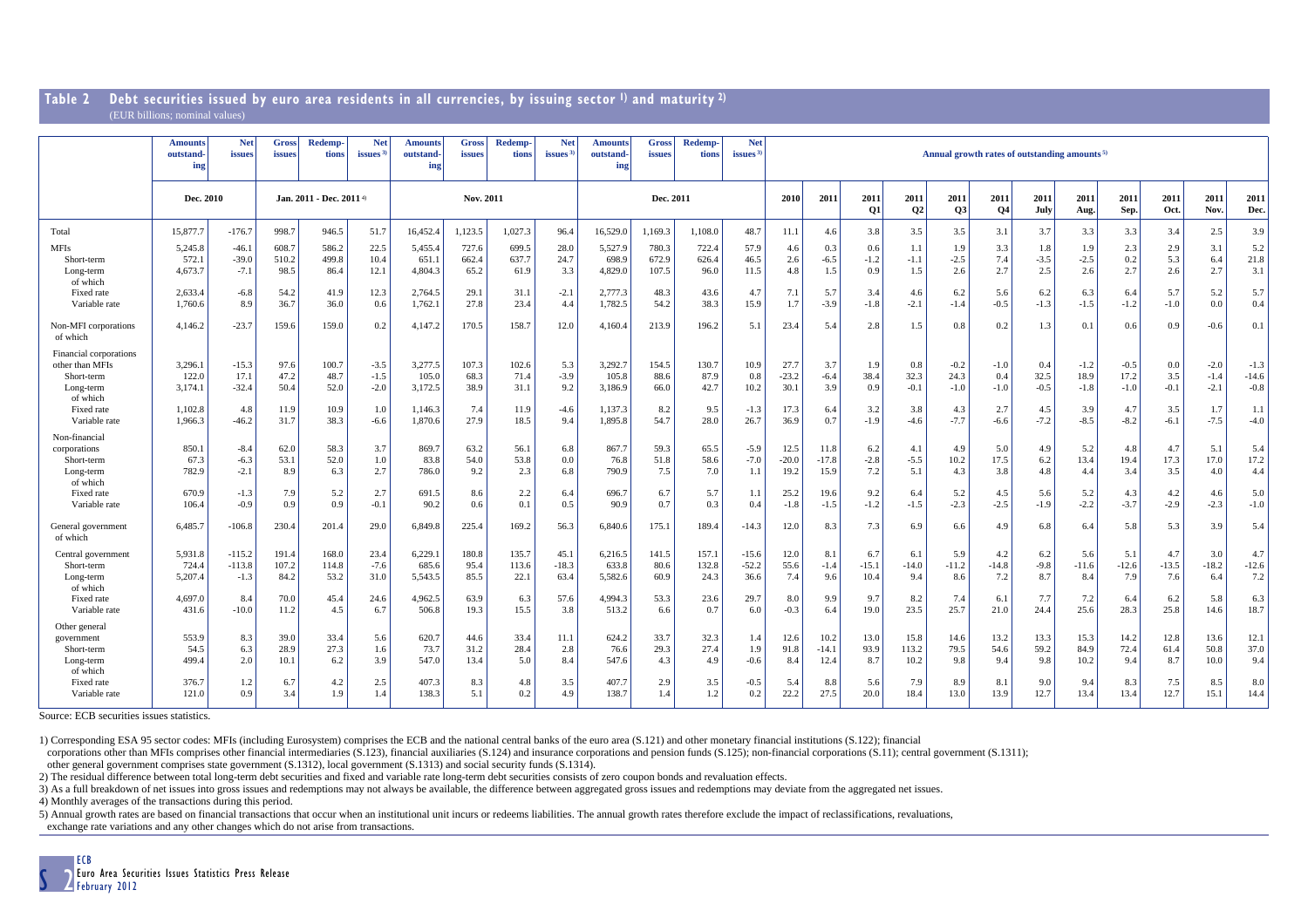#### **Table 2 Debt securities issued by euro area residents in all currencies, by issuing sector 1) and maturity 2)** (EUR billions; nominal values)

|                                                                                                                             | <b>Amounts</b><br><b>outstand-</b><br>ing         | <b>Net</b><br>issues                           | <b>Gross</b><br>issues               | <b>Redemp</b><br>tions                | <b>Net</b><br><i>issues</i>                 | <b>Amounts</b><br>outstand-<br>ing                | Gross<br>issues                      | <b>Redemp-</b><br>tions               | <b>Net</b><br>issues <sup>3</sup>     | <b>Amounts</b><br>outstand-<br>ing                | <b>Gross</b><br>issues               | <b>Redemp-</b><br>tions              | <b>Net</b><br><b>issues</b>           | Annual growth rates of outstanding amounts <sup>5)</sup> |                                           |                                       |                                        |                                           |                                          |                                        |                                           |                                           |                                       |                                             |                                              |
|-----------------------------------------------------------------------------------------------------------------------------|---------------------------------------------------|------------------------------------------------|--------------------------------------|---------------------------------------|---------------------------------------------|---------------------------------------------------|--------------------------------------|---------------------------------------|---------------------------------------|---------------------------------------------------|--------------------------------------|--------------------------------------|---------------------------------------|----------------------------------------------------------|-------------------------------------------|---------------------------------------|----------------------------------------|-------------------------------------------|------------------------------------------|----------------------------------------|-------------------------------------------|-------------------------------------------|---------------------------------------|---------------------------------------------|----------------------------------------------|
|                                                                                                                             | Dec. 2010                                         |                                                | Jan. 2011 - Dec. 2011 4)             |                                       |                                             | Nov. 2011                                         |                                      |                                       |                                       | Dec. 2011                                         |                                      |                                      |                                       | 2010                                                     | 2011                                      | 2011<br>Q1                            | 2011<br>Q2                             | 2011<br>Q3                                | 2011<br>Q <sub>4</sub>                   | 2011<br>July                           | 2011<br>Aug.                              | 2011<br>Sep.                              | 2011<br>Oct.                          | 2011<br>Nov.                                | 2011<br>Dec.                                 |
| Total<br><b>MFIs</b><br>Short-term<br>Long-term<br>of which                                                                 | 15,877.7<br>5,245.8<br>572.1<br>4,673.7           | $-176.7$<br>$-46.1$<br>$-39.0$<br>$-7.1$       | 998.7<br>608.<br>510.2<br>98.5       | 946.5<br>586.2<br>499.8<br>86.4       | 51.7<br>22.5<br>10.4<br>12.1                | 16,452.4<br>5,455.4<br>651.1<br>4,804.3           | 1.123.5<br>727.6<br>662.4<br>65.2    | 1.027.3<br>699.5<br>637.7<br>61.9     | 96.4<br>28.0<br>24.7<br>3.3           | 16,529.0<br>5,527.9<br>698.9<br>4,829.0           | 1.169.3<br>780.3<br>672.9<br>107.5   | 1.108.0<br>722.4<br>626.4<br>96.0    | 48.7<br>57.9<br>46.5<br>11.5          | 11.1<br>4.6<br>2.6<br>4.8                                | 4.6<br>0.3<br>$-6.5$<br>1.5               | 3.8<br>0.6<br>$-1.2$<br>0.9           | 3.5<br>1.1<br>$-1.1$<br>1.5            | 3.5<br>1.9<br>$-2.5$<br>2.6               | 3.1<br>3.3<br>7.4<br>2.7                 | 3.7<br>1.8<br>$-3.5$<br>2.5            | 3.3<br>1.9<br>$-2.5$<br>2.6               | 3.3<br>2.3<br>0.2<br>2.7                  | 3.4<br>2.9<br>5.3<br>2.6              | 2.5<br>3.1<br>6.4<br>2.7                    | 3.9<br>5.2<br>21.8<br>3.1                    |
| Fixed rate<br>Variable rate<br>Non-MFI corporations                                                                         | 2,633.4<br>1,760.6<br>4,146.2                     | $-6.8$<br>8.9<br>$-23.7$                       | 54.2<br>36.7<br>159.6                | 41.9<br>36.0<br>159.0                 | 12.3<br>0.6<br>0.2                          | 2,764.5<br>1,762.1<br>4,147.2                     | 29.1<br>27.8<br>170.5                | 31.<br>23.4<br>158.7                  | $-2.1$<br>4.4<br>12.0                 | 2,777.3<br>1,782.5<br>4,160.4                     | 48.3<br>54.2<br>213.9                | 43.6<br>38.3<br>196.2                | 4.7<br>15.9<br>5.1                    | 7.1<br>1.7<br>23.4                                       | 5.7<br>$-3.9$<br>5.4                      | 3.4<br>$-1.8$<br>2.8                  | 4.6<br>$-2.1$<br>1.5                   | 6.2<br>$-1.4$<br>0.8                      | 5.6<br>$-0.5$<br>0.2                     | 6.2<br>$-1.3$<br>1.3                   | 6.3<br>$-1.5$<br>0.1                      | 6.4<br>$-1.2$<br>0.6                      | 5.7<br>$-1.0$<br>0.9                  | 5.2<br>0.0<br>$-0.6$                        | 5.7<br>0.4<br>0.1                            |
| of which<br>Financial corporations<br>other than MFIs<br>Short-term<br>Long-term<br>of which<br>Fixed rate<br>Variable rate | 3.296.1<br>122.0<br>3,174.1<br>1,102.8<br>1,966.3 | $-15.3$<br>17.1<br>$-32.4$<br>4.8<br>$-46.2$   | 97.6<br>47.2<br>50.4<br>11.9<br>31.7 | 100.7<br>48.7<br>52.0<br>10.9<br>38.3 | $-3.5$<br>$-1.5$<br>$-2.0$<br>1.0<br>$-6.6$ | 3,277.5<br>105.0<br>3,172.5<br>1,146.3<br>1,870.6 | 107.3<br>68.3<br>38.9<br>7.4<br>27.9 | 102.6<br>71.4<br>31.1<br>11.9<br>18.5 | 5.3<br>$-3.9$<br>9.2<br>$-4.6$<br>9.4 | 3,292.7<br>105.8<br>3,186.9<br>1.137.3<br>1,895.8 | 154.5<br>88.6<br>66.0<br>8.2<br>54.7 | 130.7<br>87.9<br>42.7<br>9.5<br>28.0 | 10.9<br>0.8<br>10.2<br>$-1.3$<br>26.7 | 27.7<br>$-23.2$<br>30.1<br>17.3<br>36.9                  | 3.7<br>$-6.4$<br>3.9<br>6.4<br>0.7        | 1.9<br>38.4<br>0.9<br>3.2<br>$-1.9$   | 0.8<br>32.3<br>$-0.1$<br>3.8<br>$-4.6$ | $-0.2$<br>24.3<br>$-1.0$<br>4.3<br>$-7.7$ | $-1.0$<br>0.4<br>$-1.0$<br>2.7<br>$-6.6$ | 0.4<br>32.5<br>$-0.5$<br>4.5<br>$-7.2$ | $-1.2$<br>18.9<br>$-1.8$<br>3.9<br>$-8.5$ | $-0.5$<br>17.2<br>$-1.0$<br>4.7<br>$-8.2$ | 0.0<br>3.5<br>$-0.1$<br>3.5<br>$-6.1$ | $-2.0$<br>$-1.4$<br>$-2.1$<br>1.7<br>$-7.5$ | $-1.3$<br>$-14.6$<br>$-0.8$<br>1.1<br>$-4.0$ |
| Non-financial<br>corporations<br>Short-term<br>Long-term<br>of which<br>Fixed rate<br>Variable rate                         | 850.1<br>67.3<br>782.9<br>670.9<br>106.4          | $-8.4$<br>$-6.3$<br>$-2.1$<br>$-1.3$<br>$-0.9$ | 62.0<br>53.1<br>8.9<br>7.9<br>0.9    | 58.3<br>52.0<br>6.3<br>5.2<br>0.9     | 3.7<br>1.0<br>2.7<br>2.7<br>$-0.1$          | 869.7<br>83.8<br>786.0<br>691.5<br>90.2           | 63.2<br>54.0<br>9.2<br>8.6<br>0.6    | 56.1<br>53.8<br>2.3<br>2.2<br>0.1     | 6.8<br>0.0<br>6.8<br>6.4<br>0.5       | 867.7<br>76.8<br>790.9<br>696.7<br>90.9           | 59.3<br>51.8<br>7.5<br>6.7<br>0.7    | 65.5<br>58.6<br>7.0<br>5.7<br>0.3    | $-5.9$<br>$-7.0$<br>1.1<br>1.1<br>0.4 | 12.5<br>$-20.0$<br>19.2<br>25.2<br>$-1.8$                | 11.8<br>$-17.8$<br>15.9<br>19.6<br>$-1.5$ | 6.2<br>$-2.8$<br>7.2<br>9.2<br>$-1.2$ | 4.1<br>$-5.5$<br>5.1<br>6.4<br>$-1.5$  | 4.9<br>10.2<br>4.3<br>5.2<br>$-2.3$       | 5.0<br>17.5<br>3.8<br>4.5<br>$-2.5$      | 4.9<br>6.2<br>4.8<br>5.6<br>$-1.9$     | 5.2<br>13.4<br>4.4<br>5.2<br>$-2.2$       | 4.8<br>19.4<br>3.4<br>4.3<br>$-3.7$       | 4.7<br>17.3<br>3.5<br>4.2<br>$-2.9$   | 5.1<br>17.0<br>4.0<br>4.6<br>$-2.3$         | 5.4<br>17.2<br>4.4<br>5.0<br>$-1.0$          |
| General government<br>of which<br>Central government<br>Short-term<br>Long-term                                             | 6,485.7<br>5,931.8<br>724.4<br>5,207.4            | $-106.8$<br>$-115.2$<br>$-113.8$<br>$-1.3$     | 230.4<br>191.4<br>107.2<br>84.2      | 201.4<br>168.0<br>114.8<br>53.2       | 29.0<br>23.4<br>$-7.6$<br>31.0              | 6,849.8<br>6,229.1<br>685.6<br>5,543.5            | 225.4<br>180.8<br>95.4<br>85.5       | 169.2<br>135.7<br>113.6<br>22.1       | 56.3<br>45.1<br>$-18.3$<br>63.4       | 6,840.6<br>6,216.5<br>633.8<br>5,582.6            | 175.1<br>141.5<br>80.6<br>60.9       | 189.4<br>157.1<br>132.8<br>24.3      | $-14.3$<br>$-15.6$<br>$-52.2$<br>36.6 | 12.0<br>12.0<br>55.6<br>7.4                              | 8.3<br>8.1<br>$-1.4$<br>9.6               | 7.3<br>6.7<br>$-15.1$<br>10.4         | 6.9<br>6.1<br>$-14.0$<br>9.4           | 6.6<br>5.9<br>$-11.2$<br>8.6              | 4.9<br>4.2<br>$-14.8$<br>7.2             | 6.8<br>6.2<br>$-9.8$<br>8.7            | 6.4<br>5.6<br>$-11.6$<br>8.4              | 5.8<br>5.1<br>$-12.6$<br>7.9              | 5.3<br>4.7<br>$-13.5$<br>7.6          | 3.9<br>3.0<br>$-18.2$<br>6.4                | 5.4<br>4.7<br>$-12.6$<br>7.2                 |
| of which<br>Fixed rate<br>Variable rate                                                                                     | 4,697.0<br>431.6                                  | 8.4<br>$-10.0$                                 | 70.0<br>11.2                         | 45.4<br>4.5                           | 24.6<br>6.7                                 | 4,962.5<br>506.8                                  | 63.9<br>19.3                         | 6.3<br>15.5                           | 57.6<br>3.8                           | 4.994.3<br>513.2                                  | 53.3<br>6.6                          | 23.6<br>0.7                          | 29.7<br>6.0                           | 8.0<br>$-0.3$                                            | 9.9<br>6.4                                | 9.7<br>19.0                           | 8.2<br>23.5                            | 7.4<br>25.7                               | 6.1<br>21.0                              | 7.7<br>24.4                            | 7.2<br>25.6                               | 6.4<br>28.3                               | 6.2<br>25.8                           | 5.8<br>14.6                                 | 6.3<br>18.7                                  |
| Other general<br>government<br>Short-term<br>Long-term<br>of which<br>Fixed rate<br>Variable rate                           | 553.9<br>54.5<br>499.4<br>376.7<br>121.0          | 8.3<br>6.3<br>2.0<br>1.2<br>0.9                | 39.0<br>28.9<br>10.1<br>6.7<br>3.4   | 33.4<br>27.3<br>6.2<br>4.2<br>1.9     | 5.6<br>1.6<br>3.9<br>2.5<br>1.4             | 620.7<br>73.7<br>547.0<br>407.3<br>138.3          | 44.6<br>31.2<br>13.4<br>8.3<br>5.1   | 33.4<br>28.4<br>5.0<br>4.8<br>0.2     | 11.1<br>2.8<br>8.4<br>3.5<br>4.9      | 624.2<br>76.6<br>547.6<br>407.7<br>138.7          | 33.7<br>29.3<br>4.3<br>2.9<br>1.4    | 32.3<br>27.4<br>4.9<br>3.5<br>1.2    | 1.4<br>1.9<br>$-0.6$<br>$-0.5$<br>0.2 | 12.6<br>91.8<br>8.4<br>5.4<br>22.2                       | 10.2<br>$-14.1$<br>12.4<br>8.8<br>27.5    | 13.0<br>93.9<br>8.7<br>5.6<br>20.0    | 15.8<br>113.2<br>10.2<br>7.9<br>18.4   | 14.6<br>79.5<br>9.8<br>8.9<br>13.0        | 13.2<br>54.6<br>9.4<br>8.1<br>13.9       | 13.3<br>59.2<br>9.8<br>9.0<br>12.7     | 15.3<br>84.9<br>10.2<br>9.4<br>13.4       | 14.2<br>72.4<br>9.4<br>8.3<br>13.4        | 12.8<br>61.4<br>8.7<br>7.5<br>12.7    | 13.6<br>50.8<br>10.0<br>8.5<br>15.1         | 12.1<br>37.0<br>9.4<br>8.0<br>14.4           |

Source: ECB securities issues statistics.

1) Corresponding ESA 95 sector codes: MFIs (including Eurosystem) comprises the ECB and the national central banks of the euro area (S.121) and other monetary financial institutions (S.122); financial

corporations other than MFIs comprises other financial intermediaries (S.123), financial auxiliaries (S.124) and insurance corporations and pension funds (S.125); non-financial corporations (S.11); central government (S.13 other general government comprises state government (S.1312), local government (S.1313) and social security funds (S.1314).

2) The residual difference between total long-term debt securities and fixed and variable rate long-term debt securities consists of zero coupon bonds and revaluation effects.

3) As a full breakdown of net issues into gross issues and redemptions may not always be available, the difference between aggregated gross issues and redemptions may deviate from the aggregated net issues.

4) Monthly averages of the transactions during this period.

5) Annual growth rates are based on financial transactions that occur when an institutional unit incurs or redeems liabilities. The annual growth rates therefore exclude the impact of reclassifications, revaluations,

exchange rate variations and any other changes which do not arise from transactions.

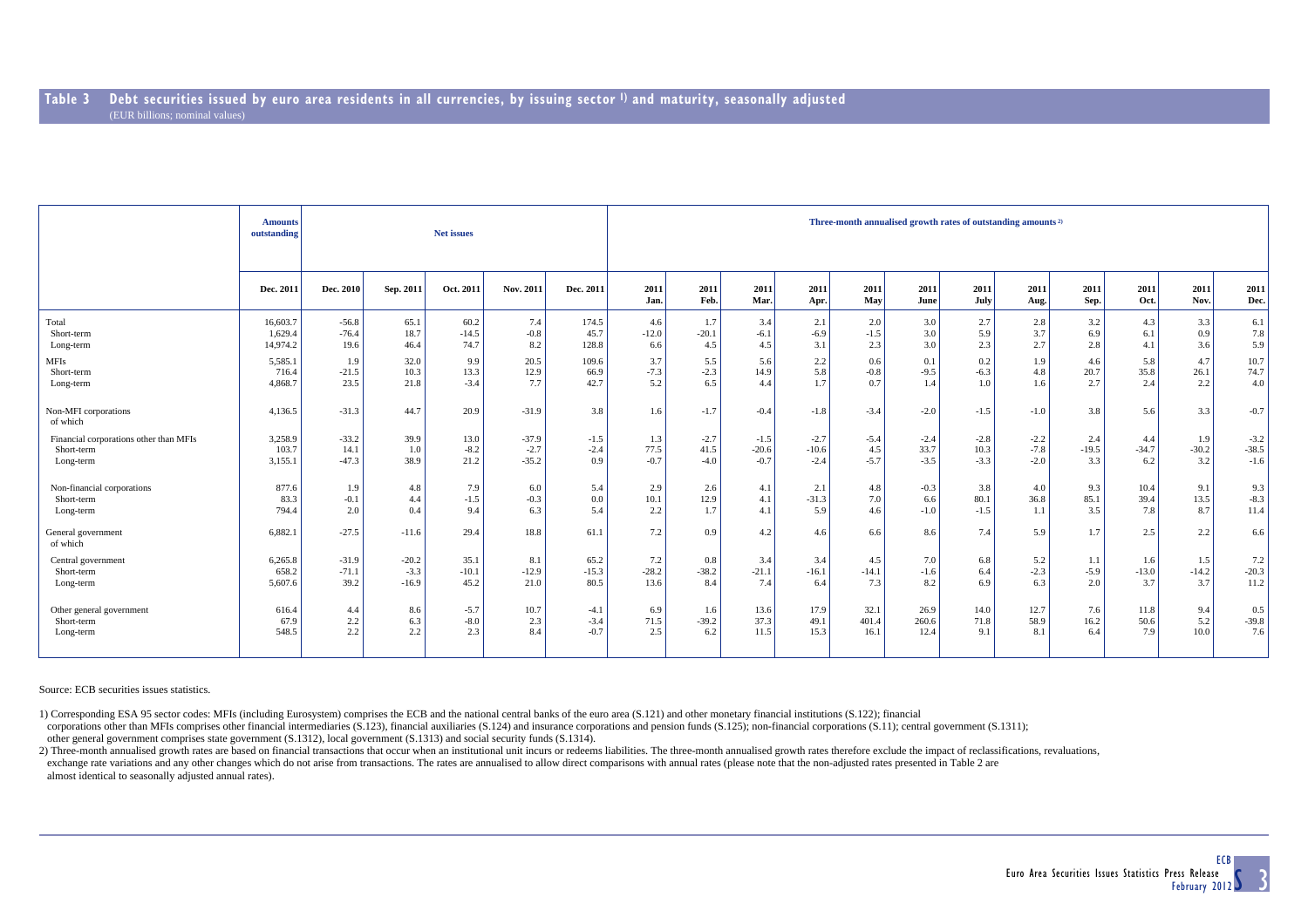|                                        | <b>Amounts</b><br>outstanding |           |           | Net issues |           |           | Three-month annualised growth rates of outstanding amounts <sup>2)</sup> |              |              |              |             |              |              |              |              |              |              |              |  |  |  |
|----------------------------------------|-------------------------------|-----------|-----------|------------|-----------|-----------|--------------------------------------------------------------------------|--------------|--------------|--------------|-------------|--------------|--------------|--------------|--------------|--------------|--------------|--------------|--|--|--|
|                                        | Dec. 2011                     | Dec. 2010 | Sep. 2011 | Oct. 2011  | Nov. 2011 | Dec. 2011 | 2011<br>Jan.                                                             | 2011<br>Feb. | 2011<br>Mar. | 2011<br>Apr. | 2011<br>May | 2011<br>June | 2011<br>July | 2011<br>Aug. | 2011<br>Sep. | 2011<br>Oct. | 2011<br>Nov. | 2011<br>Dec. |  |  |  |
| Total                                  | 16,603.7                      | $-56.8$   | 65.1      | 60.2       | 7.4       | 174.5     | 4.6                                                                      | 1.7          | 3.4          | 2.1          | 2.0         | 3.0          | 2.7          | 2.8          | 3.2          | 4.3          | 3.3          | 6.1          |  |  |  |
| Short-term                             | 1,629.4                       | $-76.4$   | 18.7      | $-14.5$    | $-0.8$    | 45.7      | $-12.0$                                                                  | $-20.1$      | $-6.1$       | $-6.9$       | $-1.5$      | 3.0          | 5.9          | 3.7          | 6.9          | 6.1          | 0.9          | 7.8          |  |  |  |
| Long-term                              | 14,974.2                      | 19.6      | 46.4      | 74.7       | 8.2       | 128.8     | 6.6                                                                      | 4.5          | 4.5          | 3.1          | 2.3         | 3.0          | 2.3          | 2.7          | 2.8          | 4.1          | 3.6          | 5.9          |  |  |  |
| <b>MFIs</b>                            | 5,585.1                       | 1.9       | 32.0      | 9.9        | 20.5      | 109.6     | 3.7                                                                      | 5.5          | 5.6          | 2.2          | 0.6         | 0.1          | 0.2          | 1.9          | 4.6          | 5.8          | 4.7          | 10.7         |  |  |  |
| Short-term                             | 716.4                         | $-21.5$   | 10.3      | 13.3       | 12.9      | 66.9      | $-7.3$                                                                   | $-2.3$       | 14.9         | 5.8          | $-0.8$      | $-9.5$       | $-6.3$       | 4.8          | 20.7         | 35.8         | 26.1         | 74.7         |  |  |  |
| Long-term                              | 4,868.7                       | 23.5      | 21.8      | $-3.4$     | 7.7       | 42.7      | 5.2                                                                      | 6.5          | 4.4          | 1.7          | 0.7         | 1.4          | 1.0          | 1.6          | 2.7          | 2.4          | 2.2          | 4.0          |  |  |  |
| Non-MFI corporations<br>of which       | 4,136.5                       | $-31.3$   | 44.7      | 20.9       | $-31.9$   | 3.8       | 1.6                                                                      | $-1.7$       | $-0.4$       | $-1.8$       | $-3.4$      | $-2.0$       | $-1.5$       | $-1.0$       | 3.8          | 5.6          | 3.3          | $-0.7$       |  |  |  |
| Financial corporations other than MFIs | 3,258.9                       | $-33.2$   | 39.9      | 13.0       | $-37.9$   | $-1.5$    | 1.3                                                                      | $-2.7$       | $-1.5$       | $-2.7$       | $-5.4$      | $-2.4$       | $-2.8$       | $-2.2$       | 2.4          | 4.4          | 1.9          | $-3.2$       |  |  |  |
| Short-term                             | 103.7                         | 14.1      | 1.0       | $-8.2$     | $-2.7$    | $-2.4$    | 77.5                                                                     | 41.5         | $-20.6$      | $-10.6$      | 4.5         | 33.7         | 10.3         | $-7.8$       | $-19.5$      | $-34.7$      | $-30.2$      | $-38.5$      |  |  |  |
| Long-term                              | 3,155.1                       | $-47.3$   | 38.9      | 21.2       | $-35.2$   | 0.9       | $-0.7$                                                                   | $-4.0$       | $-0.7$       | $-2.4$       | $-5.7$      | $-3.5$       | $-3.3$       | $-2.0$       | 3.3          | 6.2          | 3.2          | $-1.6$       |  |  |  |
| Non-financial corporations             | 877.6                         | 1.9       | 4.8       | 7.9        | 6.0       | 5.4       | 2.9                                                                      | 2.6          | 4.1          | 2.1          | 4.8         | $-0.3$       | 3.8          | 4.0          | 9.3          | 10.4         | 9.1          | 9.3          |  |  |  |
| Short-term                             | 83.3                          | $-0.1$    | 4.4       | $-1.5$     | $-0.3$    | 0.0       | 10.1                                                                     | 12.9         | 4.1          | $-31.3$      | 7.0         | 6.6          | 80.1         | 36.8         | 85.1         | 39.4         | 13.5         | $-8.3$       |  |  |  |
| Long-term                              | 794.4                         | 2.0       | 0.4       | 9.4        | 6.3       | 5.4       | 2.2                                                                      | 1.7          | 4.1          | 5.9          | 4.6         | $-1.0$       | $-1.5$       | 1.1          | 3.5          | 7.8          | 8.7          | 11.4         |  |  |  |
| General government<br>of which         | 6,882.1                       | $-27.5$   | $-11.6$   | 29.4       | 18.8      | 61.1      | 7.2                                                                      | 0.9          | 4.2          | 4.6          | 6.6         | 8.6          | 7.4          | 5.9          | 1.7          | 2.5          | 2.2          | 6.6          |  |  |  |
| Central government                     | 6,265.8                       | $-31.9$   | $-20.2$   | 35.1       | 8.1       | 65.2      | 7.2                                                                      | 0.8          | 3.4          | 3.4          | 4.5         | 7.0          | 6.8          | 5.2          | 1.1          | 1.6          | 1.5          | 7.2          |  |  |  |
| Short-term                             | 658.2                         | $-71.1$   | $-3.3$    | $-10.1$    | $-12.9$   | $-15.3$   | $-28.2$                                                                  | $-38.2$      | $-21.1$      | $-16.1$      | $-14.1$     | $-1.6$       | 6.4          | $-2.3$       | $-5.9$       | $-13.0$      | $-14.2$      | $-20.3$      |  |  |  |
| Long-term                              | 5,607.6                       | 39.2      | $-16.9$   | 45.2       | 21.0      | 80.5      | 13.6                                                                     | 8.4          | 7.4          | 6.4          | 7.3         | 8.2          | 6.9          | 6.3          | 2.0          | 3.7          | 3.7          | 11.2         |  |  |  |
| Other general government               | 616.4                         | 4.4       | 8.6       | $-5.7$     | 10.7      | $-4.1$    | 6.9                                                                      | 1.6          | 13.6         | 17.9         | 32.1        | 26.9         | 14.0         | 12.7         | 7.6          | 11.8         | 9.4          | 0.5          |  |  |  |
| Short-term                             | 67.9                          | 2.2       | 6.3       | $-8.0$     | 2.3       | $-3.4$    | 71.5                                                                     | $-39.2$      | 37.3         | 49.1         | 401.4       | 260.6        | 71.8         | 58.9         | 16.2         | 50.6         | 5.2          | $-39.8$      |  |  |  |
| Long-term                              | 548.5                         | 2.2       | 2.2       | 2.3        | 8.4       | $-0.7$    | 2.5                                                                      | 6.2          | 11.5         | 15.3         | 16.1        | 12.4         | 9.1          | 8.1          | 6.4          | 7.9          | 10.0         | 7.6          |  |  |  |

Source: ECB securities issues statistics.

1) Corresponding ESA 95 sector codes: MFIs (including Eurosystem) comprises the ECB and the national central banks of the euro area (S.121) and other monetary financial institutions (S.122); financial

corporations other than MFIs comprises other financial intermediaries (S.123), financial auxiliaries (S.124) and insurance corporations and pension funds (S.125); non-financial corporations (S.11); central government (S.13 other general government comprises state government (S.1312), local government (S.1313) and social security funds (S.1314).

2) Three-month annualised growth rates are based on financial transactions that occur when an institutional unit incurs or redeems liabilities. The three-month annualised growth rates therefore exclude the impact of reclas exchange rate variations and any other changes which do not arise from transactions. The rates are annualised to allow direct comparisons with annual rates (please note that the non-adjusted rates presented in Table 2 are almost identical to seasonally adjusted annual rates).